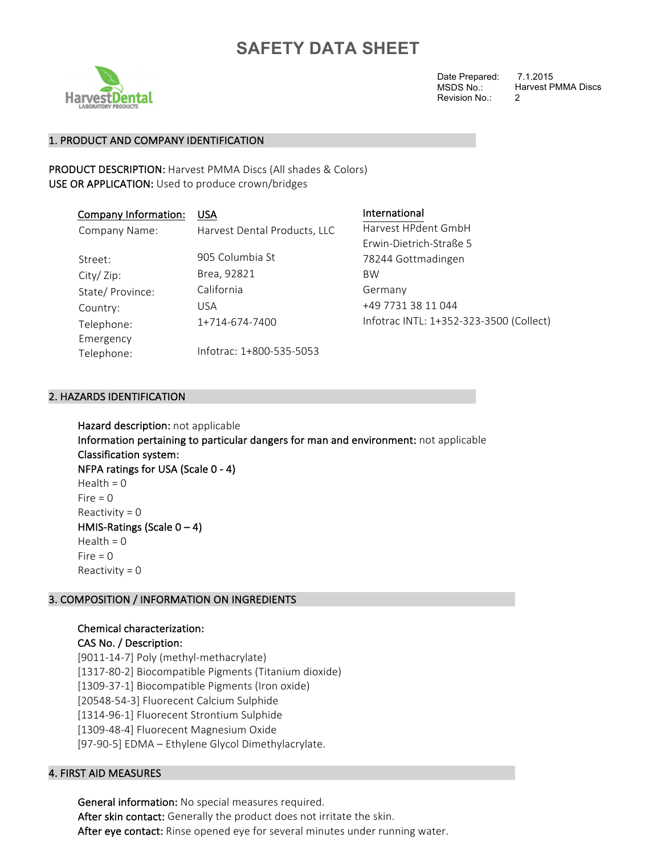

Date Prepared: MSDS No.: Revision No.:

7.1.2015 Harvest PMMA Discs 2

## 1. PRODUCT AND COMPANY IDENTIFICATION

PRODUCT DESCRIPTION: Harvest PMMA Discs (All shades & Colors) USE OR APPLICATION: Used to produce crown/bridges

| <b>Company Information:</b> | <b>USA</b>                   | International                           |
|-----------------------------|------------------------------|-----------------------------------------|
| Company Name:               | Harvest Dental Products, LLC | Harvest HPdent GmbH                     |
|                             |                              | Erwin-Dietrich-Straße 5                 |
| Street:                     | 905 Columbia St              | 78244 Gottmadingen                      |
| City/Zip:                   | Brea, 92821                  | <b>BW</b>                               |
| State/Province:             | California                   | Germany                                 |
| Country:                    | <b>USA</b>                   | +49 7731 38 11 044                      |
| Telephone:                  | 1+714-674-7400               | Infotrac INTL: 1+352-323-3500 (Collect) |
| Emergency<br>Telephone:     | Infotrac: 1+800-535-5053     |                                         |

### 2. HAZARDS IDENTIFICATION

Hazard description: not applicable Information pertaining to particular dangers for man and environment: not applicable Classification system: NFPA ratings for USA (Scale  $0 - 4$ ) Health =  $0$  $Fire = 0$ Reactivity  $= 0$ HMIS-Ratings (Scale  $0 - 4$ ) Health =  $0$  $Fire = 0$ Reactivity =  $0$ 

## 3. COMPOSITION / INFORMATION ON INGREDIENTS

## Chemical characterization: CAS No. / Description: [9011-14-7] Poly (methyl-methacrylate) [1317-80-2] Biocompatible Pigments (Titanium dioxide) [1309-37-1] Biocompatible Pigments (Iron oxide) [20548-54-3] Fluorecent Calcium Sulphide [1314-96-1] Fluorecent Strontium Sulphide [1309-48-4] Fluorecent Magnesium Oxide [97-90-5] EDMA - Ethylene Glycol Dimethylacrylate.

## **4. FIRST AID MEASURES**

General information: No special measures required. After skin contact: Generally the product does not irritate the skin. After eye contact: Rinse opened eye for several minutes under running water.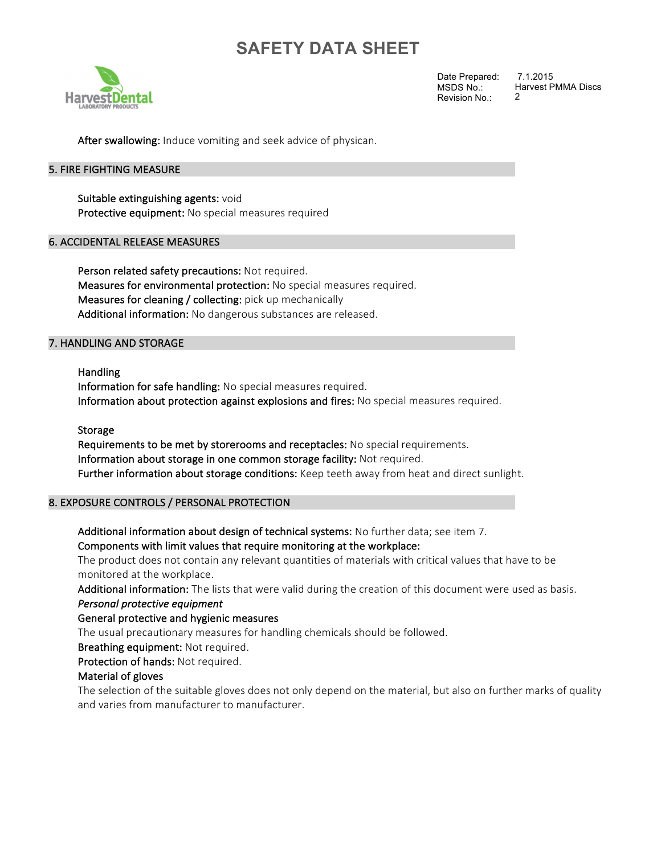

Date Prepared: MSDS No.: Revision No.: 2

7.1.2015 Harvest PMMA Discs

After swallowing: Induce vomiting and seek advice of physican.

### 5. FIRE FIGHTING MEASURE

Suitable extinguishing agents: void Protective equipment: No special measures required

### **6. ACCIDENTAL RELEASE MEASURES**

Person related safety precautions: Not required. Measures for environmental protection: No special measures required. Measures for cleaning / collecting: pick up mechanically Additional information: No dangerous substances are released.

### 7. HANDLING AND STORAGE

Handling Information for safe handling: No special measures required. Information about protection against explosions and fires: No special measures required.

#### Storage

Requirements to be met by storerooms and receptacles: No special requirements. Information about storage in one common storage facility: Not required. Further information about storage conditions: Keep teeth away from heat and direct sunlight.

### 8. EXPOSURE CONTROLS / PERSONAL PROTECTION

Additional information about design of technical systems: No further data; see item 7. Components with limit values that require monitoring at the workplace:

The product does not contain any relevant quantities of materials with critical values that have to be monitored at the workplace.

Additional information: The lists that were valid during the creation of this document were used as basis. **Personal protective equipment** 

#### General protective and hygienic measures

The usual precautionary measures for handling chemicals should be followed.

Breathing equipment: Not required.

Protection of hands: Not required.

#### Material of gloves

The selection of the suitable gloves does not only depend on the material, but also on further marks of quality and varies from manufacturer to manufacturer.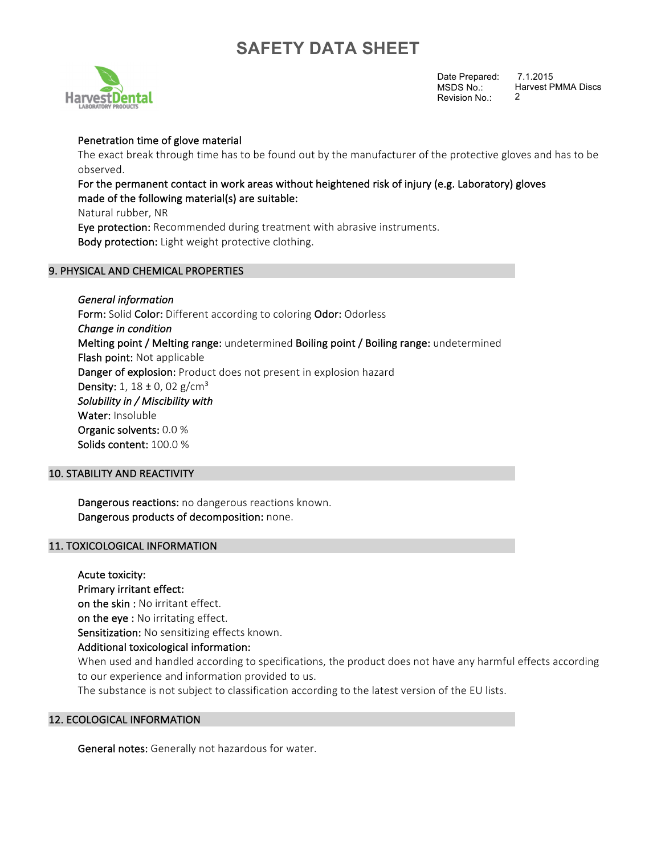

Date Prepared: MSDS No.: Revision No.: 7.1.2015 Harvest PMMA Discs 2

## Penetration time of glove material

The exact break through time has to be found out by the manufacturer of the protective gloves and has to be observed. 

## For the permanent contact in work areas without heightened risk of injury (e.g. Laboratory) gloves made of the following material(s) are suitable:

Natural rubber, NR

Eye protection: Recommended during treatment with abrasive instruments. Body protection: Light weight protective clothing.

### 9. PHYSICAL AND CHEMICAL PROPERTIES

*General information*  Form: Solid Color: Different according to coloring Odor: Odorless *Change in condition*  Melting point / Melting range: undetermined Boiling point / Boiling range: undetermined Flash point: Not applicable Danger of explosion: Product does not present in explosion hazard **Density:** 1,  $18 \pm 0$ , 02 g/cm<sup>3</sup> Solubility in / Miscibility with Water: Insoluble Organic solvents: 0.0 % Solids content: 100.0 %

### **10. STABILITY AND REACTIVITY**

Dangerous reactions: no dangerous reactions known. Dangerous products of decomposition: none.

### 11. TOXICOLOGICAL INFORMATION

Acute toxicity: Primary irritant effect: on the skin : No irritant effect. on the eye : No irritating effect. Sensitization: No sensitizing effects known. Additional toxicological information: When used and handled according to specifications, the product does not have any harmful effects according to our experience and information provided to us. The substance is not subject to classification according to the latest version of the EU lists.

### 12. ECOLOGICAL INFORMATION

General notes: Generally not hazardous for water.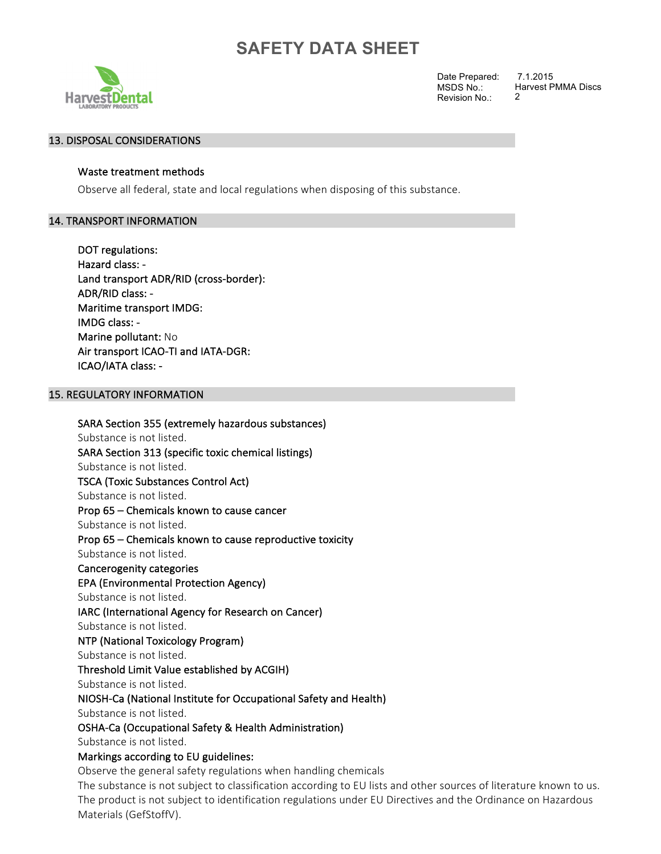

Date Prepared: MSDS No.: Revision No.:

7.1.2015 Harvest PMMA Discs 2

## 13. DISPOSAL CONSIDERATIONS

## Waste treatment methods

Observe all federal, state and local regulations when disposing of this substance.

## 14. TRANSPORT INFORMATION

DOT regulations: Hazard class: -Land transport ADR/RID (cross-border): ADR/RID class: -Maritime transport IMDG: IMDG class: -Marine pollutant: No Air transport ICAO-TI and IATA-DGR: ICAO/IATA class: -

## **15. REGULATORY INFORMATION**

Materials (GefStoffV).

SARA Section 355 (extremely hazardous substances) Substance is not listed. SARA Section 313 (specific toxic chemical listings) Substance is not listed. TSCA (Toxic Substances Control Act) Substance is not listed. Prop 65 - Chemicals known to cause cancer Substance is not listed. Prop 65 – Chemicals known to cause reproductive toxicity Substance is not listed. Cancerogenity categories EPA (Environmental Protection Agency) Substance is not listed. IARC (International Agency for Research on Cancer) Substance is not listed. NTP (National Toxicology Program) Substance is not listed. Threshold Limit Value established by ACGIH) Substance is not listed. NIOSH-Ca (National Institute for Occupational Safety and Health) Substance is not listed. OSHA-Ca (Occupational Safety & Health Administration) Substance is not listed. Markings according to EU guidelines: Observe the general safety regulations when handling chemicals The substance is not subject to classification according to EU lists and other sources of literature known to us. The product is not subject to identification regulations under EU Directives and the Ordinance on Hazardous